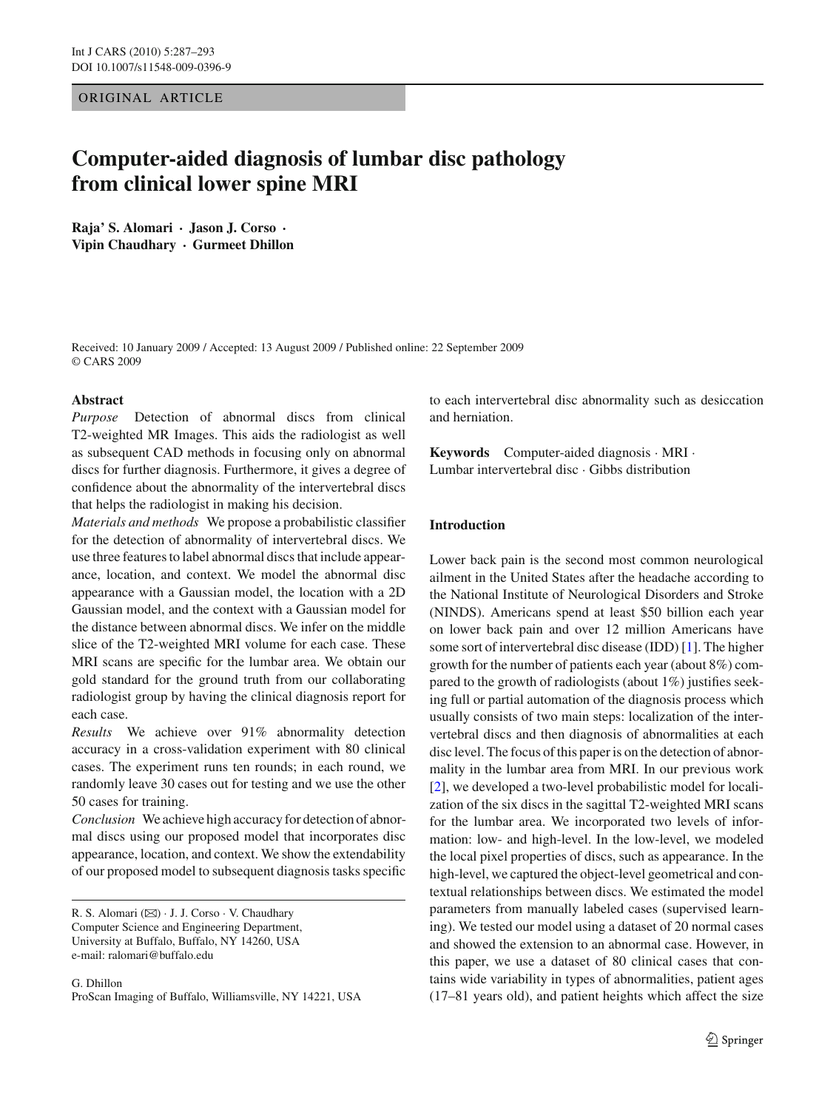ORIGINAL ARTICLE

# **Computer-aided diagnosis of lumbar disc pathology from clinical lower spine MRI**

**Raja' S. Alomari · Jason J. Corso · Vipin Chaudhary · Gurmeet Dhillon**

Received: 10 January 2009 / Accepted: 13 August 2009 / Published online: 22 September 2009 © CARS 2009

## **Abstract**

*Purpose* Detection of abnormal discs from clinical T2-weighted MR Images. This aids the radiologist as well as subsequent CAD methods in focusing only on abnormal discs for further diagnosis. Furthermore, it gives a degree of confidence about the abnormality of the intervertebral discs that helps the radiologist in making his decision.

*Materials and methods* We propose a probabilistic classifier for the detection of abnormality of intervertebral discs. We use three features to label abnormal discs that include appearance, location, and context. We model the abnormal disc appearance with a Gaussian model, the location with a 2D Gaussian model, and the context with a Gaussian model for the distance between abnormal discs. We infer on the middle slice of the T2-weighted MRI volume for each case. These MRI scans are specific for the lumbar area. We obtain our gold standard for the ground truth from our collaborating radiologist group by having the clinical diagnosis report for each case.

*Results* We achieve over 91% abnormality detection accuracy in a cross-validation experiment with 80 clinical cases. The experiment runs ten rounds; in each round, we randomly leave 30 cases out for testing and we use the other 50 cases for training.

*Conclusion* We achieve high accuracy for detection of abnormal discs using our proposed model that incorporates disc appearance, location, and context. We show the extendability of our proposed model to subsequent diagnosis tasks specific

R. S. Alomari (B) · J. J. Corso · V. Chaudhary

Computer Science and Engineering Department, University at Buffalo, Buffalo, NY 14260, USA e-mail: ralomari@buffalo.edu

G. Dhillon ProScan Imaging of Buffalo, Williamsville, NY 14221, USA to each intervertebral disc abnormality such as desiccation and herniation.

**Keywords** Computer-aided diagnosis · MRI · Lumbar intervertebral disc · Gibbs distribution

# **Introduction**

Lower back pain is the second most common neurological ailment in the United States after the headache according to the National Institute of Neurological Disorders and Stroke (NINDS). Americans spend at least \$50 billion each year on lower back pain and over 12 million Americans have some sort of intervertebral disc disease (IDD) [\[1\]](#page-6-0). The higher growth for the number of patients each year (about 8%) compared to the growth of radiologists (about 1%) justifies seeking full or partial automation of the diagnosis process which usually consists of two main steps: localization of the intervertebral discs and then diagnosis of abnormalities at each disc level. The focus of this paper is on the detection of abnormality in the lumbar area from MRI. In our previous work [\[2](#page-6-1)], we developed a two-level probabilistic model for localization of the six discs in the sagittal T2-weighted MRI scans for the lumbar area. We incorporated two levels of information: low- and high-level. In the low-level, we modeled the local pixel properties of discs, such as appearance. In the high-level, we captured the object-level geometrical and contextual relationships between discs. We estimated the model parameters from manually labeled cases (supervised learning). We tested our model using a dataset of 20 normal cases and showed the extension to an abnormal case. However, in this paper, we use a dataset of 80 clinical cases that contains wide variability in types of abnormalities, patient ages (17–81 years old), and patient heights which affect the size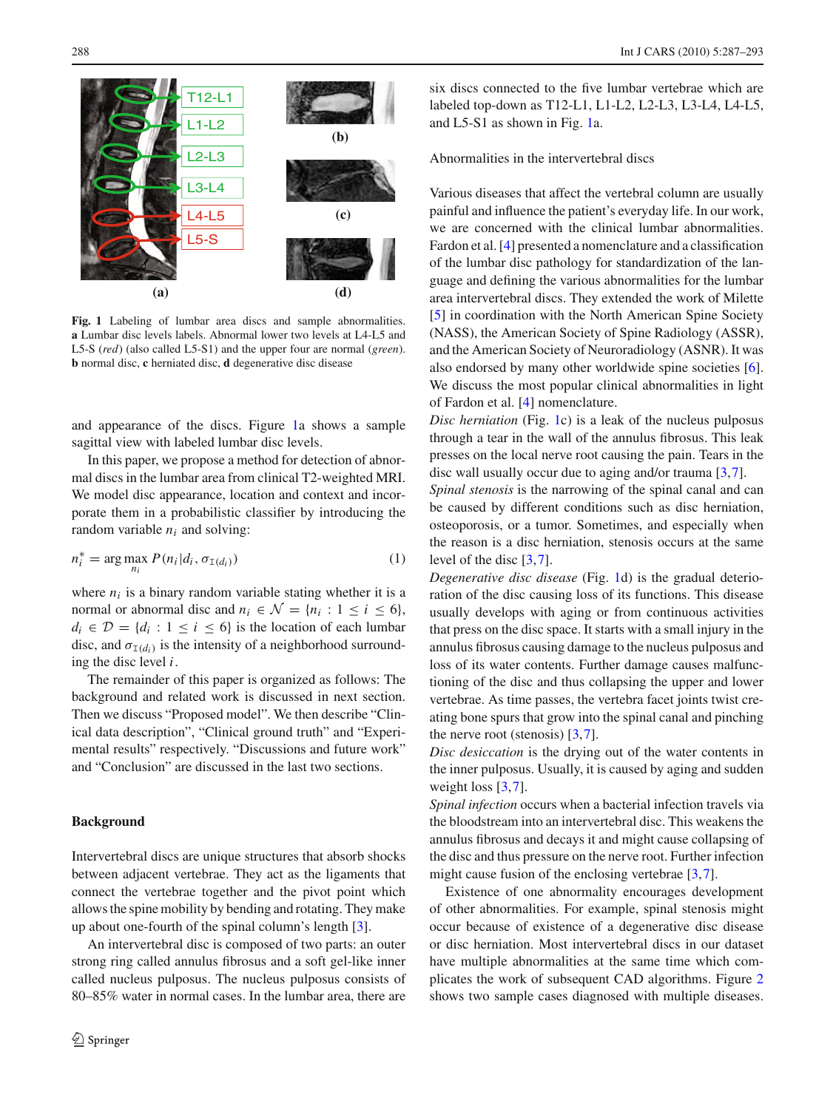

<span id="page-1-0"></span>**Fig. 1** Labeling of lumbar area discs and sample abnormalities. **a** Lumbar disc levels labels. Abnormal lower two levels at L4-L5 and L5-S (*red*) (also called L5-S1) and the upper four are normal (*green*). **b** normal disc, **c** herniated disc, **d** degenerative disc disease

and appearance of the discs. Figure [1a](#page-1-0) shows a sample sagittal view with labeled lumbar disc levels.

In this paper, we propose a method for detection of abnormal discs in the lumbar area from clinical T2-weighted MRI. We model disc appearance, location and context and incorporate them in a probabilistic classifier by introducing the random variable  $n_i$  and solving:

$$
n_i^* = \arg\max_{n_i} P(n_i|d_i, \sigma_{\text{I}(d_i)})
$$
\n(1)

where  $n_i$  is a binary random variable stating whether it is a normal or abnormal disc and  $n_i \in \mathcal{N} = \{n_i : 1 \le i \le 6\},\$  $d_i \in \mathcal{D} = \{d_i : 1 \leq i \leq 6\}$  is the location of each lumbar disc, and  $\sigma_{I(d_i)}$  is the intensity of a neighborhood surrounding the disc level *i*.

The remainder of this paper is organized as follows: The background and related work is discussed in next section. Then we discuss "Proposed model". We then describe "Clinical data description", "Clinical ground truth" and "Experimental results" respectively. "Discussions and future work" and "Conclusion" are discussed in the last two sections.

#### **Background**

Intervertebral discs are unique structures that absorb shocks between adjacent vertebrae. They act as the ligaments that connect the vertebrae together and the pivot point which allows the spine mobility by bending and rotating. They make up about one-fourth of the spinal column's length [\[3](#page-6-2)].

An intervertebral disc is composed of two parts: an outer strong ring called annulus fibrosus and a soft gel-like inner called nucleus pulposus. The nucleus pulposus consists of 80–85% water in normal cases. In the lumbar area, there are

six discs connected to the five lumbar vertebrae which are labeled top-down as T12-L1, L1-L2, L2-L3, L3-L4, L4-L5, and L5-S1 as shown in Fig. [1a](#page-1-0).

Abnormalities in the intervertebral discs

Various diseases that affect the vertebral column are usually painful and influence the patient's everyday life. In our work, we are concerned with the clinical lumbar abnormalities. Fardon et al. [\[4](#page-6-3)] presented a nomenclature and a classification of the lumbar disc pathology for standardization of the language and defining the various abnormalities for the lumbar area intervertebral discs. They extended the work of Milette [\[5](#page-6-4)] in coordination with the North American Spine Society (NASS), the American Society of Spine Radiology (ASSR), and the American Society of Neuroradiology (ASNR). It was also endorsed by many other worldwide spine societies [\[6](#page-6-5)]. We discuss the most popular clinical abnormalities in light of Fardon et al. [\[4\]](#page-6-3) nomenclature.

*Disc herniation* (Fig. [1c](#page-1-0)) is a leak of the nucleus pulposus through a tear in the wall of the annulus fibrosus. This leak presses on the local nerve root causing the pain. Tears in the disc wall usually occur due to aging and/or trauma [\[3](#page-6-2),[7\]](#page-6-6).

*Spinal stenosis* is the narrowing of the spinal canal and can be caused by different conditions such as disc herniation, osteoporosis, or a tumor. Sometimes, and especially when the reason is a disc herniation, stenosis occurs at the same level of the disc [\[3](#page-6-2)[,7](#page-6-6)].

*Degenerative disc disease* (Fig. [1d](#page-1-0)) is the gradual deterioration of the disc causing loss of its functions. This disease usually develops with aging or from continuous activities that press on the disc space. It starts with a small injury in the annulus fibrosus causing damage to the nucleus pulposus and loss of its water contents. Further damage causes malfunctioning of the disc and thus collapsing the upper and lower vertebrae. As time passes, the vertebra facet joints twist creating bone spurs that grow into the spinal canal and pinching the nerve root (stenosis)  $[3,7]$  $[3,7]$  $[3,7]$ .

*Disc desiccation* is the drying out of the water contents in the inner pulposus. Usually, it is caused by aging and sudden weight loss [\[3](#page-6-2)[,7](#page-6-6)].

*Spinal infection* occurs when a bacterial infection travels via the bloodstream into an intervertebral disc. This weakens the annulus fibrosus and decays it and might cause collapsing of the disc and thus pressure on the nerve root. Further infection might cause fusion of the enclosing vertebrae [\[3,](#page-6-2)[7\]](#page-6-6).

Existence of one abnormality encourages development of other abnormalities. For example, spinal stenosis might occur because of existence of a degenerative disc disease or disc herniation. Most intervertebral discs in our dataset have multiple abnormalities at the same time which complicates the work of subsequent CAD algorithms. Figure [2](#page-2-0) shows two sample cases diagnosed with multiple diseases.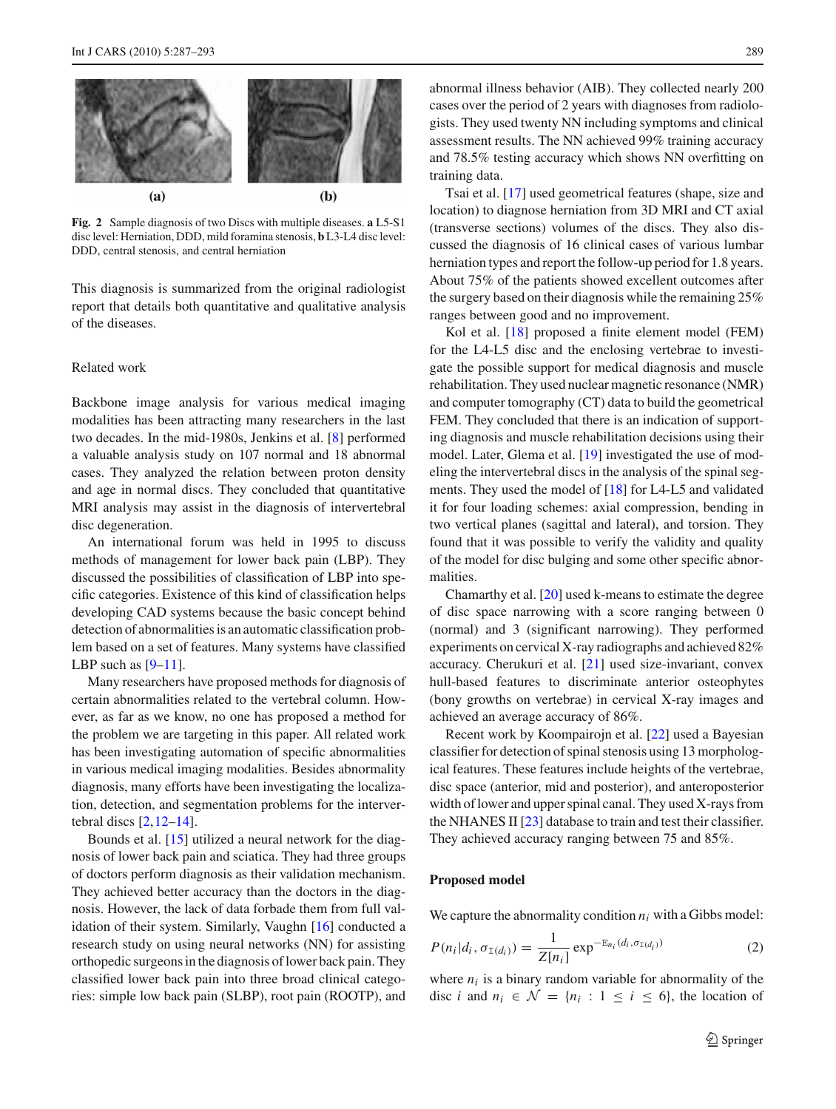

<span id="page-2-0"></span>**Fig. 2** Sample diagnosis of two Discs with multiple diseases. **a** L5-S1 disc level: Herniation, DDD, mild foramina stenosis, **b** L3-L4 disc level: DDD, central stenosis, and central herniation

This diagnosis is summarized from the original radiologist report that details both quantitative and qualitative analysis of the diseases.

## Related work

Backbone image analysis for various medical imaging modalities has been attracting many researchers in the last two decades. In the mid-1980s, Jenkins et al. [\[8\]](#page-6-7) performed a valuable analysis study on 107 normal and 18 abnormal cases. They analyzed the relation between proton density and age in normal discs. They concluded that quantitative MRI analysis may assist in the diagnosis of intervertebral disc degeneration.

An international forum was held in 1995 to discuss methods of management for lower back pain (LBP). They discussed the possibilities of classification of LBP into specific categories. Existence of this kind of classification helps developing CAD systems because the basic concept behind detection of abnormalities is an automatic classification problem based on a set of features. Many systems have classified LBP such as  $[9-11]$  $[9-11]$ .

Many researchers have proposed methods for diagnosis of certain abnormalities related to the vertebral column. However, as far as we know, no one has proposed a method for the problem we are targeting in this paper. All related work has been investigating automation of specific abnormalities in various medical imaging modalities. Besides abnormality diagnosis, many efforts have been investigating the localization, detection, and segmentation problems for the intervertebral discs  $[2, 12-14]$  $[2, 12-14]$ .

Bounds et al. [\[15](#page-6-12)] utilized a neural network for the diagnosis of lower back pain and sciatica. They had three groups of doctors perform diagnosis as their validation mechanism. They achieved better accuracy than the doctors in the diagnosis. However, the lack of data forbade them from full validation of their system. Similarly, Vaughn [\[16\]](#page-6-13) conducted a research study on using neural networks (NN) for assisting orthopedic surgeons in the diagnosis of lower back pain. They classified lower back pain into three broad clinical categories: simple low back pain (SLBP), root pain (ROOTP), and abnormal illness behavior (AIB). They collected nearly 200 cases over the period of 2 years with diagnoses from radiologists. They used twenty NN including symptoms and clinical assessment results. The NN achieved 99% training accuracy and 78.5% testing accuracy which shows NN overfitting on training data.

Tsai et al. [\[17\]](#page-6-14) used geometrical features (shape, size and location) to diagnose herniation from 3D MRI and CT axial (transverse sections) volumes of the discs. They also discussed the diagnosis of 16 clinical cases of various lumbar herniation types and report the follow-up period for 1.8 years. About 75% of the patients showed excellent outcomes after the surgery based on their diagnosis while the remaining 25% ranges between good and no improvement.

Kol et al. [\[18](#page-6-15)] proposed a finite element model (FEM) for the L4-L5 disc and the enclosing vertebrae to investigate the possible support for medical diagnosis and muscle rehabilitation. They used nuclear magnetic resonance (NMR) and computer tomography (CT) data to build the geometrical FEM. They concluded that there is an indication of supporting diagnosis and muscle rehabilitation decisions using their model. Later, Glema et al. [\[19](#page-6-16)] investigated the use of modeling the intervertebral discs in the analysis of the spinal segments. They used the model of [\[18\]](#page-6-15) for L4-L5 and validated it for four loading schemes: axial compression, bending in two vertical planes (sagittal and lateral), and torsion. They found that it was possible to verify the validity and quality of the model for disc bulging and some other specific abnormalities.

Chamarthy et al. [\[20\]](#page-6-17) used k-means to estimate the degree of disc space narrowing with a score ranging between 0 (normal) and 3 (significant narrowing). They performed experiments on cervical X-ray radiographs and achieved 82% accuracy. Cherukuri et al. [\[21\]](#page-6-18) used size-invariant, convex hull-based features to discriminate anterior osteophytes (bony growths on vertebrae) in cervical X-ray images and achieved an average accuracy of 86%.

Recent work by Koompairojn et al. [\[22\]](#page-6-19) used a Bayesian classifier for detection of spinal stenosis using 13 morphological features. These features include heights of the vertebrae, disc space (anterior, mid and posterior), and anteroposterior width of lower and upper spinal canal. They used X-rays from the NHANES II [\[23](#page-6-20)] database to train and test their classifier. They achieved accuracy ranging between 75 and 85%.

#### **Proposed model**

We capture the abnormality condition  $n_i$  with a Gibbs model:

$$
P(n_i|d_i, \sigma_{\text{I}(d_i)}) = \frac{1}{Z[n_i]} \exp^{-\mathbb{E}_{n_i}(d_i, \sigma_{\text{I}(d_i)})}
$$
(2)

where  $n_i$  is a binary random variable for abnormality of the disc *i* and  $n_i \in \mathcal{N} = \{n_i : 1 \leq i \leq 6\}$ , the location of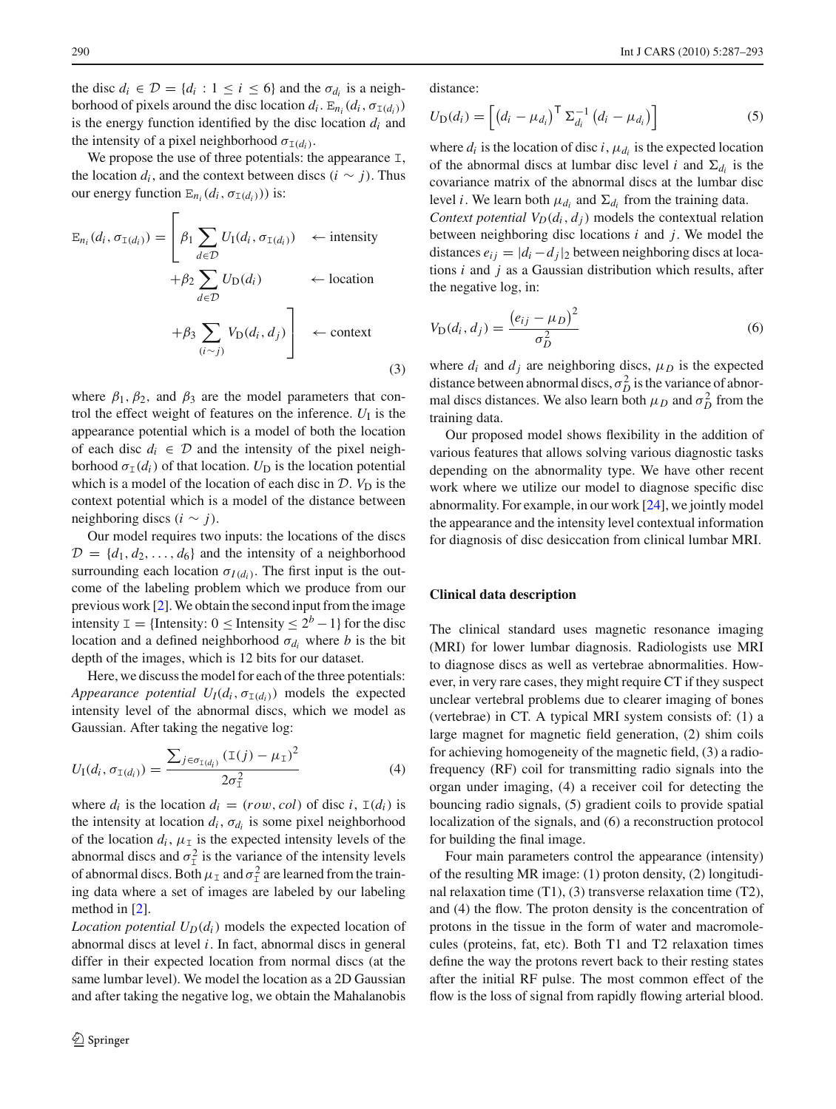the disc  $d_i \in \mathcal{D} = \{d_i : 1 \leq i \leq 6\}$  and the  $\sigma_{d_i}$  is a neighborhood of pixels around the disc location  $d_i$ .  $E_{n_i}(d_i, \sigma_{I(d_i)})$ is the energy function identified by the disc location *di* and the intensity of a pixel neighborhood  $\sigma_{I(d_i)}$ .

We propose the use of three potentials: the appearance  $I$ , the location  $d_i$ , and the context between discs  $(i \sim j)$ . Thus our energy function  $E_{n_i}(d_i, \sigma_{I(d_i)}))$  is:

$$
\mathbb{E}_{n_i}(d_i, \sigma_{\mathbb{I}(d_i)}) = \left[\begin{aligned} \beta_1 &\sum_{d \in \mathcal{D}} U_1(d_i, \sigma_{\mathbb{I}(d_i)}) &\leftarrow \text{intensity} \\ + \beta_2 &\sum_{d \in \mathcal{D}} U_{\mathbb{D}}(d_i) &\leftarrow \text{location} \\ + \beta_3 &\sum_{(i \sim j)} V_{\mathbb{D}}(d_i, d_j) \right] &\leftarrow \text{context} \end{aligned}\right]
$$
\n(3)

where  $\beta_1$ ,  $\beta_2$ , and  $\beta_3$  are the model parameters that control the effect weight of features on the inference.  $U_I$  is the appearance potential which is a model of both the location of each disc  $d_i \in \mathcal{D}$  and the intensity of the pixel neighborhood  $\sigma_{\text{I}}(d_i)$  of that location.  $U_D$  is the location potential which is a model of the location of each disc in  $D$ .  $V_D$  is the context potential which is a model of the distance between neighboring discs (*i* ∼ *j*).

Our model requires two inputs: the locations of the discs  $D = \{d_1, d_2, \ldots, d_6\}$  and the intensity of a neighborhood surrounding each location  $\sigma_{I(d_i)}$ . The first input is the outcome of the labeling problem which we produce from our previous work [\[2](#page-6-1)].We obtain the second input from the image intensity I = {Intensity: 0 ≤ Intensity ≤  $2^b - 1$ } for the disc location and a defined neighborhood  $\sigma_{d_i}$  where *b* is the bit depth of the images, which is 12 bits for our dataset.

Here, we discuss the model for each of the three potentials: *Appearance potential*  $U_I(d_i, \sigma_{I(d_i)})$  models the expected intensity level of the abnormal discs, which we model as Gaussian. After taking the negative log:

$$
U_{\rm I}(d_i, \sigma_{{\rm I}(d_i)}) = \frac{\sum_{j \in \sigma_{{\rm I}(d_i)}} (\rm I(j) - \mu_{\rm I})^2}{2\sigma_{\rm I}^2} \tag{4}
$$

where  $d_i$  is the location  $d_i = (row, col)$  of disc *i*,  $I(d_i)$  is the intensity at location  $d_i$ ,  $\sigma_{d_i}$  is some pixel neighborhood of the location  $d_i$ ,  $\mu_{\text{I}}$  is the expected intensity levels of the abnormal discs and  $\sigma_{\perp}^2$  is the variance of the intensity levels of abnormal discs. Both  $\mu_{\text{I}}$  and  $\sigma_{\text{I}}^2$  are learned from the training data where a set of images are labeled by our labeling method in [\[2\]](#page-6-1).

*Location potential*  $U_D(d_i)$  models the expected location of abnormal discs at level *i*. In fact, abnormal discs in general differ in their expected location from normal discs (at the same lumbar level). We model the location as a 2D Gaussian and after taking the negative log, we obtain the Mahalanobis distance:

$$
U_{\mathcal{D}}(d_i) = \left[ \left( d_i - \mu_{d_i} \right)^{\mathsf{T}} \Sigma_{d_i}^{-1} \left( d_i - \mu_{d_i} \right) \right]
$$
 (5)

where  $d_i$  is the location of disc  $i$ ,  $\mu_{d_i}$  is the expected location of the abnormal discs at lumbar disc level *i* and  $\Sigma_{d_i}$  is the covariance matrix of the abnormal discs at the lumbar disc level *i*. We learn both  $\mu_{d_i}$  and  $\Sigma_{d_i}$  from the training data.

*Context potential*  $V_D(d_i, d_i)$  models the contextual relation between neighboring disc locations *i* and *j*. We model the distances  $e_{ij} = |d_i - d_j|_2$  between neighboring discs at locations *i* and *j* as a Gaussian distribution which results, after the negative log, in:

$$
V_{\mathcal{D}}(d_i, d_j) = \frac{\left(e_{ij} - \mu_D\right)^2}{\sigma_D^2} \tag{6}
$$

where  $d_i$  and  $d_j$  are neighboring discs,  $\mu_D$  is the expected distance between abnormal discs,  $\sigma_D^2$  is the variance of abnormal discs distances. We also learn both  $\mu_D$  and  $\sigma_D^2$  from the training data.

Our proposed model shows flexibility in the addition of various features that allows solving various diagnostic tasks depending on the abnormality type. We have other recent work where we utilize our model to diagnose specific disc abnormality. For example, in our work [\[24\]](#page-6-21), we jointly model the appearance and the intensity level contextual information for diagnosis of disc desiccation from clinical lumbar MRI.

# **Clinical data description**

The clinical standard uses magnetic resonance imaging (MRI) for lower lumbar diagnosis. Radiologists use MRI to diagnose discs as well as vertebrae abnormalities. However, in very rare cases, they might require CT if they suspect unclear vertebral problems due to clearer imaging of bones (vertebrae) in CT. A typical MRI system consists of: (1) a large magnet for magnetic field generation, (2) shim coils for achieving homogeneity of the magnetic field, (3) a radiofrequency (RF) coil for transmitting radio signals into the organ under imaging, (4) a receiver coil for detecting the bouncing radio signals, (5) gradient coils to provide spatial localization of the signals, and (6) a reconstruction protocol for building the final image.

Four main parameters control the appearance (intensity) of the resulting MR image: (1) proton density, (2) longitudinal relaxation time  $(T1)$ ,  $(3)$  transverse relaxation time  $(T2)$ , and (4) the flow. The proton density is the concentration of protons in the tissue in the form of water and macromolecules (proteins, fat, etc). Both T1 and T2 relaxation times define the way the protons revert back to their resting states after the initial RF pulse. The most common effect of the flow is the loss of signal from rapidly flowing arterial blood.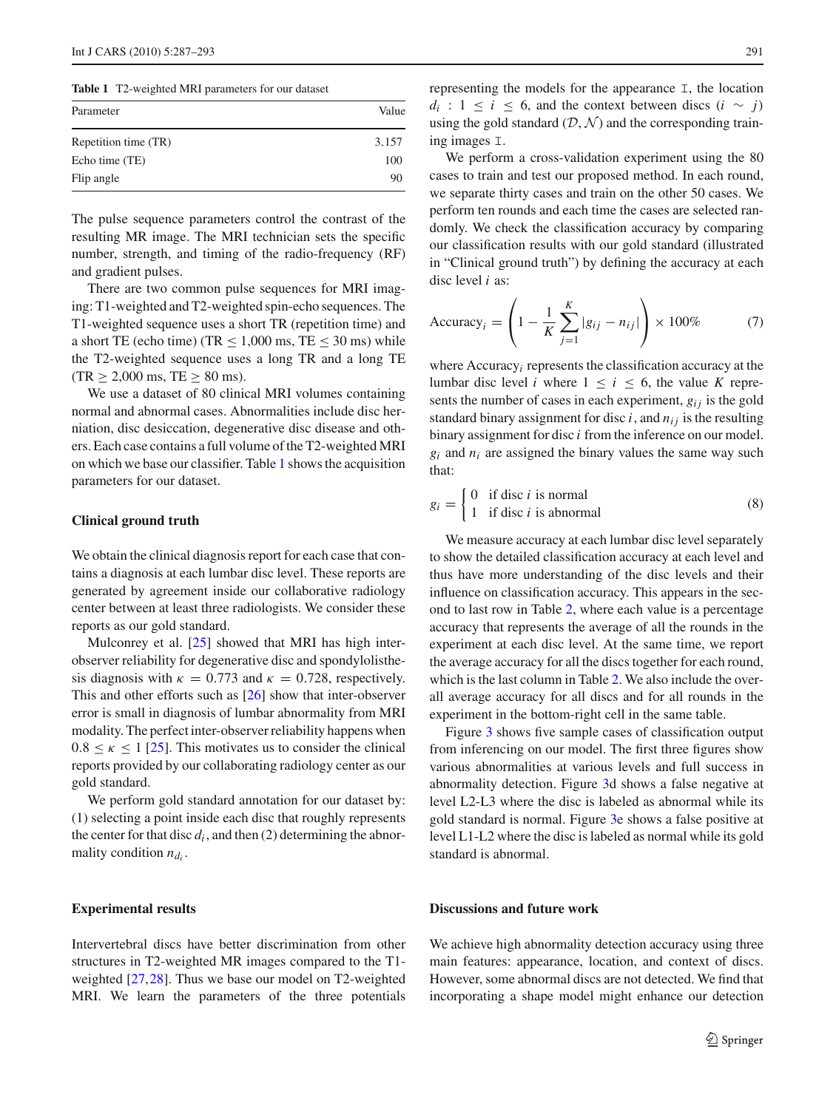**Table 1** T2-weighted MRI parameters for our dataset

<span id="page-4-0"></span>

| Parameter            | Value |
|----------------------|-------|
| Repetition time (TR) | 3,157 |
| Echo time (TE)       | 100   |
| Flip angle           | 90    |

The pulse sequence parameters control the contrast of the resulting MR image. The MRI technician sets the specific number, strength, and timing of the radio-frequency (RF) and gradient pulses.

There are two common pulse sequences for MRI imaging: T1-weighted and T2-weighted spin-echo sequences. The T1-weighted sequence uses a short TR (repetition time) and a short TE (echo time) (TR  $\leq$  1,000 ms, TE  $\leq$  30 ms) while the T2-weighted sequence uses a long TR and a long TE  $(TR > 2,000$  ms,  $TE > 80$  ms).

We use a dataset of 80 clinical MRI volumes containing normal and abnormal cases. Abnormalities include disc herniation, disc desiccation, degenerative disc disease and others. Each case contains a full volume of the T2-weighted MRI on which we base our classifier. Table [1](#page-4-0) shows the acquisition parameters for our dataset.

# **Clinical ground truth**

We obtain the clinical diagnosis report for each case that contains a diagnosis at each lumbar disc level. These reports are generated by agreement inside our collaborative radiology center between at least three radiologists. We consider these reports as our gold standard.

Mulconrey et al. [\[25](#page-6-22)] showed that MRI has high interobserver reliability for degenerative disc and spondylolisthesis diagnosis with  $\kappa = 0.773$  and  $\kappa = 0.728$ , respectively. This and other efforts such as [\[26](#page-6-23)] show that inter-observer error is small in diagnosis of lumbar abnormality from MRI modality. The perfect inter-observer reliability happens when  $0.8 \leq \kappa \leq 1$  [\[25](#page-6-22)]. This motivates us to consider the clinical reports provided by our collaborating radiology center as our gold standard.

We perform gold standard annotation for our dataset by: (1) selecting a point inside each disc that roughly represents the center for that disc  $d_i$ , and then  $(2)$  determining the abnormality condition  $n_{d_i}$ .

## **Experimental results**

Intervertebral discs have better discrimination from other structures in T2-weighted MR images compared to the T1 weighted [\[27](#page-6-24),[28\]](#page-6-25). Thus we base our model on T2-weighted MRI. We learn the parameters of the three potentials representing the models for the appearance I, the location *d<sub>i</sub>* : 1 ≤ *i* ≤ 6, and the context between discs  $(i \sim j)$ using the gold standard  $(D, \mathcal{N})$  and the corresponding training images I.

We perform a cross-validation experiment using the 80 cases to train and test our proposed method. In each round, we separate thirty cases and train on the other 50 cases. We perform ten rounds and each time the cases are selected randomly. We check the classification accuracy by comparing our classification results with our gold standard (illustrated in "Clinical ground truth") by defining the accuracy at each disc level *i* as:

Accuracy<sub>i</sub> = 
$$
\left(1 - \frac{1}{K} \sum_{j=1}^{K} |g_{ij} - n_{ij}|\right) \times 100\%
$$
 (7)

where Accuracy*i* represents the classification accuracy at the lumbar disc level *i* where  $1 \le i \le 6$ , the value *K* represents the number of cases in each experiment,  $g_{ij}$  is the gold standard binary assignment for disc  $i$ , and  $n_{ij}$  is the resulting binary assignment for disc *i* from the inference on our model.  $g_i$  and  $n_i$  are assigned the binary values the same way such that:

$$
g_i = \begin{cases} 0 & \text{if disc } i \text{ is normal} \\ 1 & \text{if disc } i \text{ is abnormal} \end{cases}
$$
 (8)

We measure accuracy at each lumbar disc level separately to show the detailed classification accuracy at each level and thus have more understanding of the disc levels and their influence on classification accuracy. This appears in the second to last row in Table [2,](#page-5-0) where each value is a percentage accuracy that represents the average of all the rounds in the experiment at each disc level. At the same time, we report the average accuracy for all the discs together for each round, which is the last column in Table [2.](#page-5-0) We also include the overall average accuracy for all discs and for all rounds in the experiment in the bottom-right cell in the same table.

Figure [3](#page-5-1) shows five sample cases of classification output from inferencing on our model. The first three figures show various abnormalities at various levels and full success in abnormality detection. Figure [3d](#page-5-1) shows a false negative at level L2-L3 where the disc is labeled as abnormal while its gold standard is normal. Figure [3e](#page-5-1) shows a false positive at level L1-L2 where the disc is labeled as normal while its gold standard is abnormal.

## **Discussions and future work**

We achieve high abnormality detection accuracy using three main features: appearance, location, and context of discs. However, some abnormal discs are not detected. We find that incorporating a shape model might enhance our detection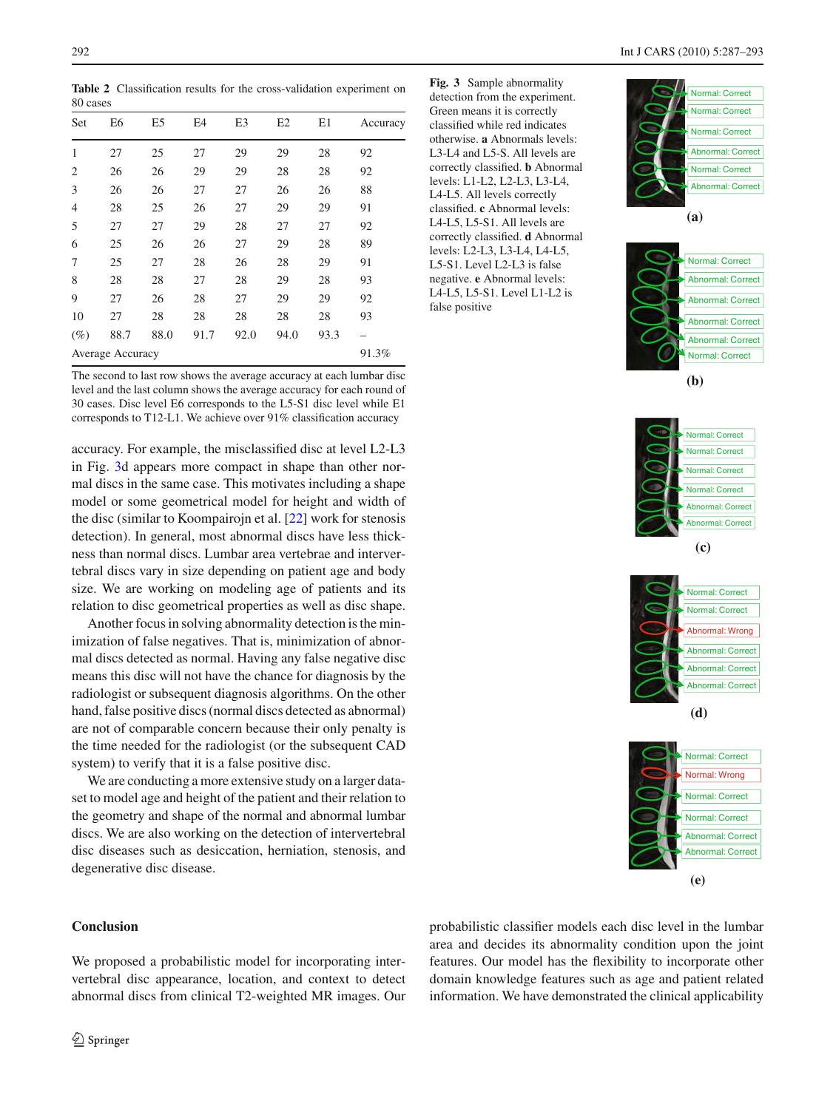**Table 2** Classification results for the cross-validation experiment on 80 cases

<span id="page-5-0"></span>

| Set              | E6    | E <sub>5</sub> | E4   | E3   | E2   | E1   | Accuracy |
|------------------|-------|----------------|------|------|------|------|----------|
| 1                | 27    | 25             | 27   | 29   | 29   | 28   | 92       |
| 2                | 26    | 26             | 29   | 29   | 28   | 28   | 92       |
| 3                | 26    | 26             | 27   | 27   | 26   | 26   | 88       |
| $\overline{4}$   | 28    | 25             | 26   | 27   | 29   | 29   | 91       |
| 5                | 27    | 27             | 29   | 28   | 27   | 27   | 92       |
| 6                | 25    | 26             | 26   | 27   | 29   | 28   | 89       |
| 7                | 25    | 27             | 28   | 26   | 28   | 29   | 91       |
| 8                | 28    | 28             | 27   | 28   | 29   | 28   | 93       |
| 9                | 27    | 26             | 28   | 27   | 29   | 29   | 92       |
| 10               | 27    | 28             | 28   | 28   | 28   | 28   | 93       |
| $(\%)$           | 88.7  | 88.0           | 91.7 | 92.0 | 94.0 | 93.3 |          |
| Average Accuracy | 91.3% |                |      |      |      |      |          |

The second to last row shows the average accuracy at each lumbar disc level and the last column shows the average accuracy for each round of 30 cases. Disc level E6 corresponds to the L5-S1 disc level while E1 corresponds to T12-L1. We achieve over 91% classification accuracy

accuracy. For example, the misclassified disc at level L2-L3 in Fig. [3d](#page-5-1) appears more compact in shape than other normal discs in the same case. This motivates including a shape model or some geometrical model for height and width of the disc (similar to Koompairojn et al. [\[22\]](#page-6-19) work for stenosis detection). In general, most abnormal discs have less thickness than normal discs. Lumbar area vertebrae and intervertebral discs vary in size depending on patient age and body size. We are working on modeling age of patients and its relation to disc geometrical properties as well as disc shape.

Another focus in solving abnormality detection is the minimization of false negatives. That is, minimization of abnormal discs detected as normal. Having any false negative disc means this disc will not have the chance for diagnosis by the radiologist or subsequent diagnosis algorithms. On the other hand, false positive discs (normal discs detected as abnormal) are not of comparable concern because their only penalty is the time needed for the radiologist (or the subsequent CAD system) to verify that it is a false positive disc.

We are conducting a more extensive study on a larger dataset to model age and height of the patient and their relation to the geometry and shape of the normal and abnormal lumbar discs. We are also working on the detection of intervertebral disc diseases such as desiccation, herniation, stenosis, and degenerative disc disease.

# **Conclusion**

We proposed a probabilistic model for incorporating intervertebral disc appearance, location, and context to detect abnormal discs from clinical T2-weighted MR images. Our <span id="page-5-1"></span>**Fig. 3** Sample abnormality detection from the experiment. Green means it is correctly classified while red indicates otherwise. **a** Abnormals levels: L3-L4 and L5-S. All levels are

correctly classified. **b** Abnormal levels: L1-L2, L2-L3, L3-L4, L4-L5. All levels correctly classified. **c** Abnormal levels: L4-L5, L5-S1. All levels are correctly classified. **d** Abnormal levels: L2-L3, L3-L4, L4-L5, L5-S1. Level L2-L3 is false negative. **e** Abnormal levels: L4-L5, L5-S1. Level L1-L2 is

false positive















probabilistic classifier models each disc level in the lumbar area and decides its abnormality condition upon the joint features. Our model has the flexibility to incorporate other domain knowledge features such as age and patient related information. We have demonstrated the clinical applicability